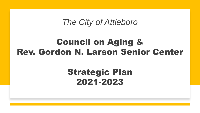*The City of Attleboro*

# Council on Aging & Rev. Gordon N. Larson Senior Center

# Strategic Plan 2021-2023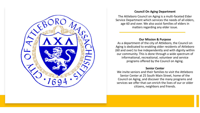

#### **Council On Aging Department**

The Attleboro Council on Aging is a multi-faceted Elder Service Department which services the needs of all elders, age 60 and over. We also assist families of elders in matters regarding any elder issue.

#### **Our Mission & Purpose**

As a department of the city of Attleboro, the Council on Aging is dedicated to enabling older residents of Attleboro (60 and over) to live independently and with dignity within our community. This is done through a wide spectrum of informational, recreational, volunteer and service programs offered by the Council on Aging.

#### **Senior Center**

We invite seniors and their families to visit the Attleboro Senior Center at 25 South Main Street, home of the Council on Aging, and discover the many programs and services we offer that can enrich the lives of our or older citizens, neighbors and friends.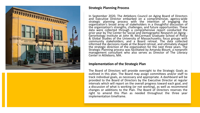

### **Strategic Planning Process**

In September 2020, The Attleboro Council on Aging Board of Directors and Executive Director embarked on a comprehensive, agency-wide strategic planning process with the intention of engaging the organization's broad array of stakeholders in a thoughtful discussion of the organization's strengths, challenges, and future opportunities. These data were collected through a comprehensive report conducted the prior year by The Center for Social and Demographic Research on Aging - Gerontology Institute at John W. McCormack Graduate School of Policy & Global Studies of the University of Massachusetts; focus groups with community stakeholders; and a Board retreat. The data collected informed the decisions made at the Board retreat, and ultimately shaped the strategic direction of the organization for the next three years. The Strategic Planning process was facilitated by Amanda Blount, a nonprofit management consultant who also serves as Director of The Literacy Center in Attleboro, MA.

#### **Implementation of the Strategic Plan**

The Board of Directors will provide oversight to the Strategic Goals as outlined in this plan. The Board may assign committees and/or staff to track individual goals, as necessary and appropriate. A dashboard will be provided to the Board of Directors by the Executive Director at regular intervals which will report on the overall progress toward each goal, and a discussion of what is working (or not working), as well as recommend changes or additions to the Plan. The Board of Directors reserves the right to amend this Plan as needed throughout the three year implementation timeframe.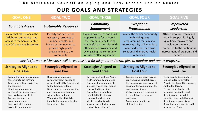# **OUR GOALS AND STRATEGIES**

| <b>GOAL ONE</b>                                                                                                          | <b>GOAL TWO</b>                                                                                                                                                  | <b>GOAL THREE</b>                                                                                                                                                                                                          | <b>GOAL FOUR</b>                                                                                                                                                                              | <b>GOAL FIVE</b>                                                                                                                                                                      |
|--------------------------------------------------------------------------------------------------------------------------|------------------------------------------------------------------------------------------------------------------------------------------------------------------|----------------------------------------------------------------------------------------------------------------------------------------------------------------------------------------------------------------------------|-----------------------------------------------------------------------------------------------------------------------------------------------------------------------------------------------|---------------------------------------------------------------------------------------------------------------------------------------------------------------------------------------|
| <b>Equitable Access</b>                                                                                                  | <b>Sustainable Resources</b>                                                                                                                                     | <b>Community</b><br><b>Engagement</b>                                                                                                                                                                                      | <b>Exceptional</b><br>Programming                                                                                                                                                             | <b>Empowered</b><br>Leadership                                                                                                                                                        |
| Ensure that all seniors in the<br>Attleboro community have<br>access to the Senior Center<br>and COA programs & services | Identify and secure the<br>necessary resources of<br>funding, people, and<br>infrastructure needed to<br>provide high quality<br>programming to the<br>community | <b>Expand awareness and build</b><br>opportunities for seniors in<br>the community by forging<br>meaningful partnerships with<br>other service providers, and<br>by engaging the community<br>on issues affecting seniors. | Provide the senior community<br>with high quality<br>programming that aims to<br>improve quality of life, reduce<br>financial distress, decrease<br>isolation and improve health<br>outcomes. | Attract, develop, retain and<br>provide support for highly<br>qualified employees and<br>volunteers who are<br>committed to the continuous<br>improvement of programs and<br>services |

*Key Performance Measures will be established for all goals and strategies to monitor and report progress.*

| <b>Strategies Aligned to</b>                                                                                                                                                                                                                                                                           | <b>Strategies Aligned to</b>                                                                                                                                                                                                                                                                                    | <b>Strategies Aligned to</b>                                                                                                                                                                                                                                                                                                           | <b>Strategies Aligned to</b>                                                                                                                                                                                                                                                   | <b>Strategies Aligned to</b>                                                                                                                                                                                                                                                                                                                               |
|--------------------------------------------------------------------------------------------------------------------------------------------------------------------------------------------------------------------------------------------------------------------------------------------------------|-----------------------------------------------------------------------------------------------------------------------------------------------------------------------------------------------------------------------------------------------------------------------------------------------------------------|----------------------------------------------------------------------------------------------------------------------------------------------------------------------------------------------------------------------------------------------------------------------------------------------------------------------------------------|--------------------------------------------------------------------------------------------------------------------------------------------------------------------------------------------------------------------------------------------------------------------------------|------------------------------------------------------------------------------------------------------------------------------------------------------------------------------------------------------------------------------------------------------------------------------------------------------------------------------------------------------------|
| <b>Goal One</b>                                                                                                                                                                                                                                                                                        | <b>Goal Two</b>                                                                                                                                                                                                                                                                                                 | <b>Goal Three</b>                                                                                                                                                                                                                                                                                                                      | <b>Goal Four</b>                                                                                                                                                                                                                                                               | <b>Goal Five</b>                                                                                                                                                                                                                                                                                                                                           |
| Expand transportation options<br>for seniors to get to/from<br>Center and critical services in<br>the community<br>Identify new options for<br>parking at the Senior Center<br>Improved physical plant<br>Conduct outreach to<br>homebound seniors<br>Improve tech for remote<br>access to programming | Develop and maintain a<br>regular advocacy agenda to<br>present to the City Council and<br>to the City budget team<br>Build capacity for grant writing<br>and resource development<br>with staff and volunteers<br>Work with City officials to<br>$\sim$<br>identify & secure new location<br>for senior center | Develop partnerships/ "aging<br>well" community of practice<br>Educating the community to<br>increase engagement around<br>issues affecting seniors<br>Redevelop the brand and<br>$\sim$<br>establish the Center as a<br>resource for all seniors<br>Identify mechanisms to<br>advocate on behalf of senior<br>housing & medical needs | Conduct evaluation of existing<br>programs and establish areas<br>for expansion or improvement<br>Look to other communities for<br>programming ideas<br>Utilize community assessment<br>to establish need for new<br>programs<br>Create opportunities for<br>lifelong learning | - Hire a qualified candidate to<br>replace outgoing director<br>- Provide highly qualified support<br>staff to the Director<br>- Ensure leadership have the<br>resources needed to excel<br>- Recruit volunteers to fill<br>identified gaps in staff capacity<br>- Recruit and retain a diverse<br>Board that lend expertise to the<br>needs of the Center |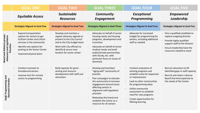|                                                                                | <b>GOAL ONE</b>                                                                                                                                                                                               | <b>GOAL TWO</b>                                                                                                                                                                                          | <b>GOAL THREE</b>                                                                                                                                                                                                                                                                                            | <b>GOAL FOUR</b>                                                                                                                                                                                                                                                                  | <b>GOAL FIVE</b>                                                                                                                                                                   |
|--------------------------------------------------------------------------------|---------------------------------------------------------------------------------------------------------------------------------------------------------------------------------------------------------------|----------------------------------------------------------------------------------------------------------------------------------------------------------------------------------------------------------|--------------------------------------------------------------------------------------------------------------------------------------------------------------------------------------------------------------------------------------------------------------------------------------------------------------|-----------------------------------------------------------------------------------------------------------------------------------------------------------------------------------------------------------------------------------------------------------------------------------|------------------------------------------------------------------------------------------------------------------------------------------------------------------------------------|
|                                                                                | <b>Equitable Access</b>                                                                                                                                                                                       | <b>Sustainable</b><br><b>Resources</b>                                                                                                                                                                   | <b>Community</b><br><b>Engagement</b>                                                                                                                                                                                                                                                                        | <b>Exceptional</b><br>Programming                                                                                                                                                                                                                                                 | <b>Empowered</b><br>Leadership                                                                                                                                                     |
|                                                                                | <b>Strategies Aligned to Goal One</b>                                                                                                                                                                         | <b>Strategies Aligned to Goal Two</b>                                                                                                                                                                    | <b>Strategies Aligned to Goal Three</b>                                                                                                                                                                                                                                                                      | <b>Strategies Aligned to Goal Four</b>                                                                                                                                                                                                                                            | <b>Strategies Aligned to Goal Five</b>                                                                                                                                             |
| <b>Board and Advisory groups:</b><br>and Legislative<br>Priorities<br>Advocacy | <b>Expand transportation</b><br>options for seniors to get<br>to/from Center and critical<br>services in the community<br>Identify new options for<br>parking at the Senior Center<br>Improved physical plant | Develop and maintain a<br>regular advocacy agenda to<br>present to the City Council<br>and to the City budget team<br>Work with City officials to<br>identify & secure new<br>location for senior center | Advocate on behalf of senior<br>housing needs and housing<br>programs, development and<br>incentives<br>Advocate on behalf of senior<br>medical needs and build<br>public/private partnerships<br>with Sturdy, etc. with<br>particular focus on issues of<br>dementia                                        | Advocate for increased<br>budget for programming for<br>seniors, including additional<br>staff as needed                                                                                                                                                                          | Hire a qualified candidate to<br>replace outgoing director<br>Provide highly qualified<br>support staff to the Director<br>Ensure leadership have the<br>resources needed to excel |
| and<br><b>Outreach Priorities</b><br>Staff: Programming                        | Conduct outreach to<br>homebound seniors<br>Improve tech for remote<br>access to programming                                                                                                                  | Build capacity for grant<br>writing and resource<br>development with staff and<br>volunteers                                                                                                             | Develop partnerships/<br>"aging well" community of<br>practice<br>Plan campaigns to educate<br>the community to increase<br>engagement around issues<br>affecting seniors in<br>alignment with legislative<br>priorities<br>Redevelop the brand and<br>establish the Center as a<br>resource for all seniors | Conduct evaluation of<br>existing programs and<br>establish areas for expansion<br>or improvement<br>Look to other communities<br>for programming ideas<br>Utilize community<br>assessment to establish<br>need for new programs<br>Create opportunities for<br>lifelong learning | Recruit volunteers to fill<br>identified gaps in staff capacity<br>Recruit and retain a diverse<br>Board that lend expertise to<br>the needs of the Center                         |